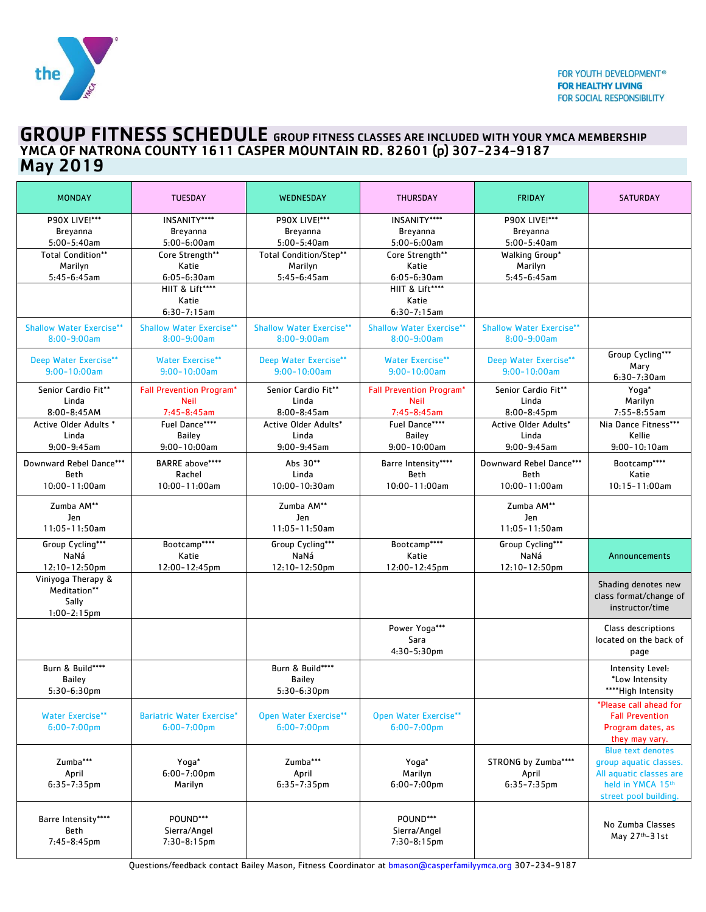

# GROUP FITNESS SCHEDULE GROUP FITNESS CLASSES ARE INCLUDED WITH YOUR YMCA MEMBERSHIP YMCA OF NATRONA COUNTY 1611 CASPER MOUNTAIN RD. 82601 (p) 307-234-9187 May 2019

| <b>MONDAY</b>                      | <b>TUESDAY</b>                      | WEDNESDAY                       | <b>THURSDAY</b>                     | <b>FRIDAY</b>                   | <b>SATURDAY</b>                            |
|------------------------------------|-------------------------------------|---------------------------------|-------------------------------------|---------------------------------|--------------------------------------------|
| <b>P90X LIVE!***</b>               | INSANITY****                        | <b>P90X LIVE!***</b>            | INSANITY****                        | <b>P90X LIVE!***</b>            |                                            |
| Breyanna                           | Breyanna                            | Breyanna                        | Breyanna                            | Breyanna                        |                                            |
| $5:00-5:40am$                      | $5:00-6:00am$                       | $5:00-5:40am$                   | $5:00-6:00am$                       | $5:00 - 5:40$ am                |                                            |
| <b>Total Condition**</b>           | Core Strength**                     | <b>Total Condition/Step**</b>   | Core Strength**                     | Walking Group*                  |                                            |
| Marilyn                            | Katie                               | Marilyn                         | Katie                               | Marilyn                         |                                            |
| $5:45-6:45am$                      | $6:05 - 6:30$ am<br>HIIT & Lift**** | $5:45-6:45am$                   | $6:05 - 6:30$ am<br>HIIT & Lift**** | $5:45-6:45am$                   |                                            |
|                                    | Katie                               |                                 | Katie                               |                                 |                                            |
|                                    | $6:30 - 7:15$ am                    |                                 | $6:30 - 7:15$ am                    |                                 |                                            |
| <b>Shallow Water Exercise**</b>    | <b>Shallow Water Exercise**</b>     | <b>Shallow Water Exercise**</b> | <b>Shallow Water Exercise**</b>     | <b>Shallow Water Exercise**</b> |                                            |
| $8:00 - 9:00$ am                   | $8:00 - 9:00am$                     | $8:00 - 9:00am$                 | $8:00 - 9:00am$                     | $8:00 - 9:00am$                 |                                            |
|                                    |                                     |                                 |                                     |                                 | Group Cycling***                           |
| Deep Water Exercise**              | <b>Water Exercise**</b>             | Deep Water Exercise**           | <b>Water Exercise**</b>             | Deep Water Exercise**           | Mary                                       |
| $9:00 - 10:00am$                   | $9:00 - 10:00$ am                   | $9:00 - 10:00am$                | $9:00 - 10:00am$                    | $9:00 - 10:00am$                | $6:30-7:30am$                              |
| Senior Cardio Fit**                | <b>Fall Prevention Program*</b>     | Senior Cardio Fit**             | <b>Fall Prevention Program*</b>     | Senior Cardio Fit**             | Yoga*                                      |
| Linda                              | <b>Neil</b>                         | Linda                           | <b>Neil</b>                         | Linda                           | Marilyn                                    |
| 8:00-8:45AM                        | 7:45-8:45am                         | $8:00 - 8:45$ am                | 7:45-8:45am                         | 8:00-8:45pm                     | $7:55 - 8:55$ am                           |
| Active Older Adults *              | Fuel Dance****                      | Active Older Adults*            | Fuel Dance****                      | Active Older Adults*            | Nia Dance Fitness***                       |
| Linda                              | <b>Bailey</b>                       | Linda                           | <b>Bailey</b>                       | Linda                           | Kellie                                     |
| $9:00 - 9:45$ am                   | $9:00 - 10:00am$                    | $9:00 - 9:45$ am                | $9:00 - 10:00$ am                   | $9:00-9:45am$                   | $9:00 - 10:10am$                           |
| Downward Rebel Dance***            | BARRE above****                     | Abs 30**                        | Barre Intensity****                 | Downward Rebel Dance***         | Bootcamp****                               |
| <b>Beth</b>                        | Rachel                              | Linda                           | <b>Beth</b>                         | <b>Beth</b>                     | Katie                                      |
| 10:00-11:00am                      | 10:00-11:00am                       | 10:00-10:30am                   | 10:00-11:00am                       | 10:00-11:00am                   | $10:15 - 11:00am$                          |
| Zumba AM**                         |                                     | Zumba AM**                      |                                     | Zumba AM**                      |                                            |
| Jen                                |                                     | Jen                             |                                     | Jen                             |                                            |
| 11:05-11:50am                      |                                     | $11:05 - 11:50am$               |                                     | $11:05 - 11:50$ am              |                                            |
| Group Cycling***                   | Bootcamp****                        | Group Cycling***                | Bootcamp****                        | Group Cycling***                |                                            |
| NaNá                               | Katie                               | NaNá                            | Katie                               | NaNá                            | Announcements                              |
| $12:10 - 12:50$ pm                 | 12:00-12:45pm                       | 12:10-12:50pm                   | 12:00-12:45pm                       | $12:10 - 12:50$ pm              |                                            |
| Viniyoga Therapy &<br>Meditation** |                                     |                                 |                                     |                                 | Shading denotes new                        |
| Sally                              |                                     |                                 |                                     |                                 | class format/change of                     |
| $1:00 - 2:15$ pm                   |                                     |                                 |                                     |                                 | instructor/time                            |
|                                    |                                     |                                 | Power Yoga***                       |                                 | Class descriptions                         |
|                                    |                                     |                                 | Sara                                |                                 | located on the back of                     |
|                                    |                                     |                                 | 4:30-5:30pm                         |                                 | page                                       |
| Burn & Build****                   |                                     | Burn & Build****                |                                     |                                 | Intensity Level:                           |
| Bailey                             |                                     | Bailey                          |                                     |                                 | *Low Intensity                             |
| 5:30-6:30pm                        |                                     | 5:30-6:30pm                     |                                     |                                 | ****High Intensity                         |
|                                    |                                     |                                 |                                     |                                 | *Please call ahead for                     |
| <b>Water Exercise**</b>            | <b>Bariatric Water Exercise*</b>    | Open Water Exercise**           | <b>Open Water Exercise**</b>        |                                 | <b>Fall Prevention</b>                     |
| $6:00 - 7:00$ pm                   | $6:00 - 7:00$ pm                    | $6:00 - 7:00$ pm                | $6:00 - 7:00$ pm                    |                                 | Program dates, as                          |
|                                    |                                     |                                 |                                     |                                 | they may vary.<br><b>Blue text denotes</b> |
| Zumba***                           | Yoga*                               | Zumba***                        | Yoga*                               | STRONG by Zumba****             | group aquatic classes.                     |
| April                              | $6:00 - 7:00$ pm                    | April                           | Marilyn                             | April                           | All aquatic classes are                    |
| $6:35 - 7:35$ pm                   | Marilyn                             | $6:35 - 7:35$ pm                | $6:00 - 7:00$ pm                    | $6:35 - 7:35$ pm                | held in YMCA 15th                          |
|                                    |                                     |                                 |                                     |                                 | street pool building.                      |
|                                    |                                     |                                 |                                     |                                 |                                            |
| Barre Intensity****<br>Beth        | POUND***<br>Sierra/Angel            |                                 | POUND***<br>Sierra/Angel            |                                 | No Zumba Classes                           |
| 7:45-8:45pm                        | 7:30-8:15pm                         |                                 | 7:30-8:15pm                         |                                 | May 27th-31st                              |
|                                    |                                     |                                 |                                     |                                 |                                            |

Questions/feedback contact Bailey Mason, Fitness Coordinator at [bmason@casperfamilyymca.org](mailto:bmason@casperfamilyymca.org) 307-234-9187